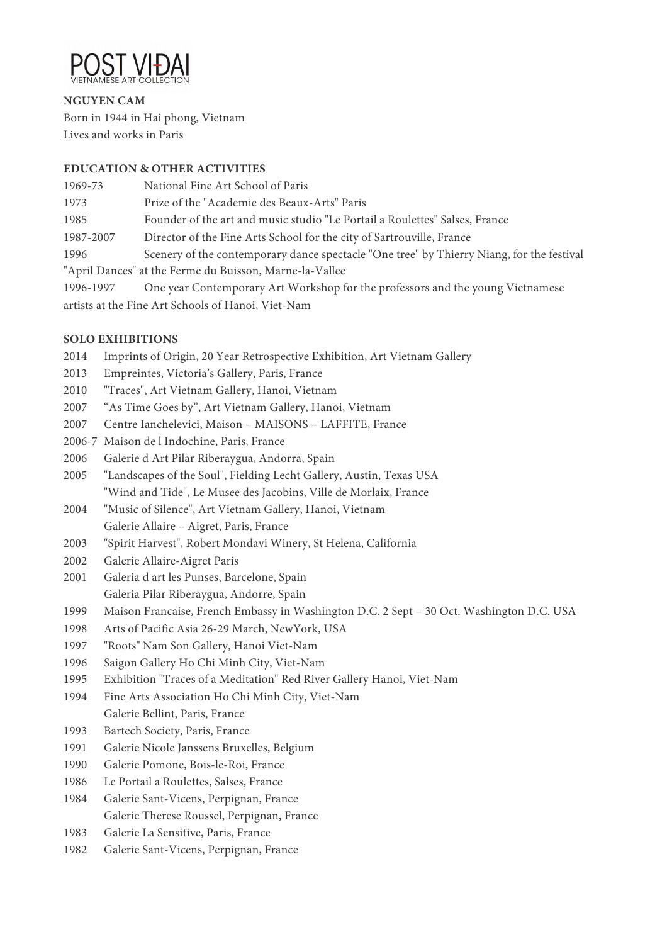

**NGUYEN CAM** Born in 1944 in Hai phong, Vietnam Lives and works in Paris

### **EDUCATION & OTHER ACTIVITIES**

| 1969-73                                                 | National Fine Art School of Paris                                                         |
|---------------------------------------------------------|-------------------------------------------------------------------------------------------|
| 1973                                                    | Prize of the "Academie des Beaux-Arts" Paris                                              |
| 1985                                                    | Founder of the art and music studio "Le Portail a Roulettes" Salses, France               |
| 1987-2007                                               | Director of the Fine Arts School for the city of Sartrouville, France                     |
| 1996                                                    | Scenery of the contemporary dance spectacle "One tree" by Thierry Niang, for the festival |
| "April Dances" at the Ferme du Buisson, Marne-la-Vallee |                                                                                           |
| 1996-1997                                               | One year Contemporary Art Workshop for the professors and the young Vietnamese            |
| artists at the Fine Art Schools of Hanoi, Viet-Nam      |                                                                                           |

### **SOLO EXHIBITIONS**

- 2014 Imprints of Origin, 20 Year Retrospective Exhibition, Art Vietnam Gallery
- 2013 Empreintes, Victoria's Gallery, Paris, France
- 2010 "Traces", Art Vietnam Gallery, Hanoi, Vietnam
- 2007 "As Time Goes by", Art Vietnam Gallery, Hanoi, Vietnam
- 2007 Centre Ianchelevici, Maison MAISONS LAFFITE, France
- 2006-7 Maison de l Indochine, Paris, France
- 2006 Galerie d Art Pilar Riberaygua, Andorra, Spain
- 2005 "Landscapes of the Soul", Fielding Lecht Gallery, Austin, Texas USA "Wind and Tide", Le Musee des Jacobins, Ville de Morlaix, France
- 2004 "Music of Silence", Art Vietnam Gallery, Hanoi, Vietnam
- Galerie Allaire Aigret, Paris, France
- 2003 "Spirit Harvest", Robert Mondavi Winery, St Helena, California
- 2002 Galerie Allaire-Aigret Paris
- 2001 Galeria d art les Punses, Barcelone, Spain Galeria Pilar Riberaygua, Andorre, Spain
- 1999 Maison Francaise, French Embassy in Washington D.C. 2 Sept 30 Oct. Washington D.C. USA
- 1998 Arts of Pacific Asia 26-29 March, NewYork, USA
- 1997 "Roots" Nam Son Gallery, Hanoi Viet-Nam
- 1996 Saigon Gallery Ho Chi Minh City, Viet-Nam
- 1995 Exhibition "Traces of a Meditation" Red River Gallery Hanoi, Viet-Nam
- 1994 Fine Arts Association Ho Chi Minh City, Viet-Nam Galerie Bellint, Paris, France
- 1993 Bartech Society, Paris, France
- 1991 Galerie Nicole Janssens Bruxelles, Belgium
- 1990 Galerie Pomone, Bois-le-Roi, France
- 1986 Le Portail a Roulettes, Salses, France
- 1984 Galerie Sant-Vicens, Perpignan, France Galerie Therese Roussel, Perpignan, France
- 1983 Galerie La Sensitive, Paris, France
- 1982 Galerie Sant-Vicens, Perpignan, France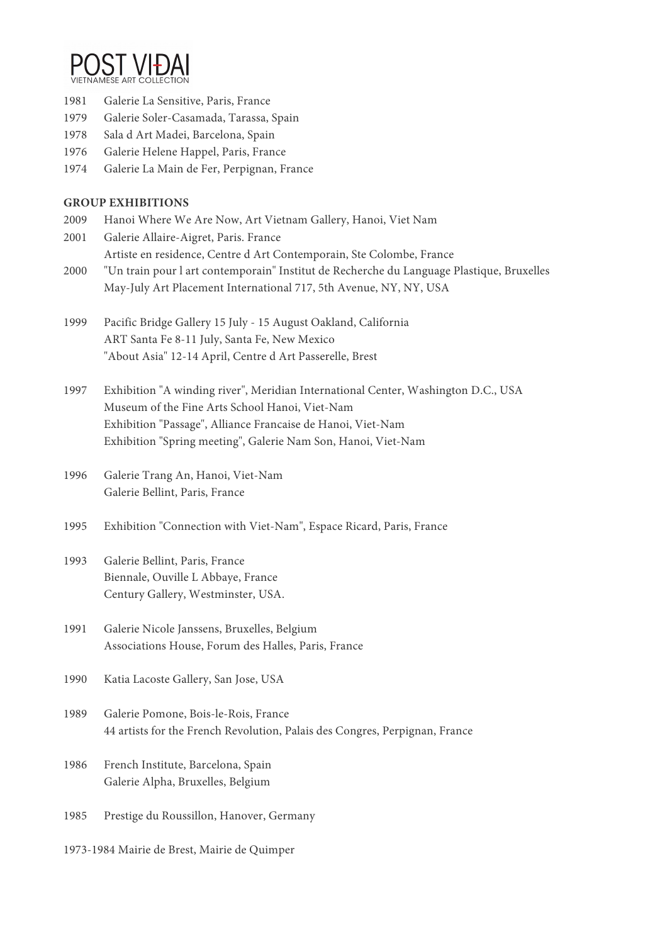

1981 Galerie La Sensitive, Paris, France

- 1979 Galerie Soler-Casamada, Tarassa, Spain
- 1978 Sala d Art Madei, Barcelona, Spain
- 1976 Galerie Helene Happel, Paris, France
- 1974 Galerie La Main de Fer, Perpignan, France

### **GROUP EXHIBITIONS**

- 2009 Hanoi Where We Are Now, Art Vietnam Gallery, Hanoi, Viet Nam
- 2001 Galerie Allaire-Aigret, Paris. France Artiste en residence, Centre d Art Contemporain, Ste Colombe, France
- 2000 "Un train pour l art contemporain" Institut de Recherche du Language Plastique, Bruxelles May-July Art Placement International 717, 5th Avenue, NY, NY, USA
- 1999 Pacific Bridge Gallery 15 July 15 August Oakland, California ART Santa Fe 8-11 July, Santa Fe, New Mexico "About Asia" 12-14 April, Centre d Art Passerelle, Brest
- 1997 Exhibition "A winding river", Meridian International Center, Washington D.C., USA Museum of the Fine Arts School Hanoi, Viet-Nam Exhibition "Passage", Alliance Francaise de Hanoi, Viet-Nam Exhibition "Spring meeting", Galerie Nam Son, Hanoi, Viet-Nam
- 1996 Galerie Trang An, Hanoi, Viet-Nam Galerie Bellint, Paris, France
- 1995 Exhibition "Connection with Viet-Nam", Espace Ricard, Paris, France

## 1993 Galerie Bellint, Paris, France Biennale, Ouville L Abbaye, France Century Gallery, Westminster, USA.

- 1991 Galerie Nicole Janssens, Bruxelles, Belgium Associations House, Forum des Halles, Paris, France
- 1990 Katia Lacoste Gallery, San Jose, USA
- 1989 Galerie Pomone, Bois-le-Rois, France 44 artists for the French Revolution, Palais des Congres, Perpignan, France
- 1986 French Institute, Barcelona, Spain Galerie Alpha, Bruxelles, Belgium
- 1985 Prestige du Roussillon, Hanover, Germany
- 1973-1984 Mairie de Brest, Mairie de Quimper